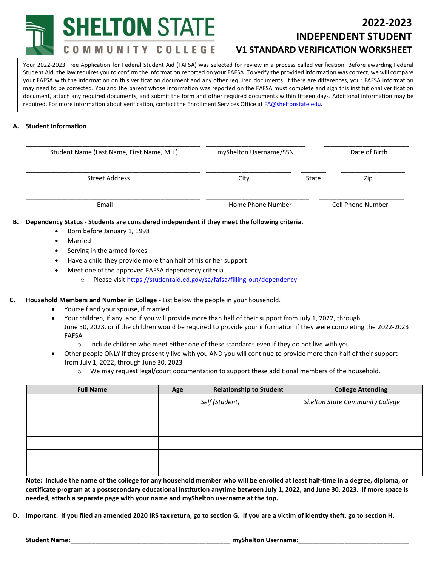**SHELTON STATE** 

COMMUNITY COLLEGE

# **2022-2023 INDEPENDENT STUDENT V1 STANDARD VERIFICATION WORKSHEET**

**(Attach V5 if required.)** Your 2022-2023 Free Application for Federal Student Aid (FAFSA) was selected for review in a process called verification. Before awarding Federal Student Aid, the law requires you to confirm the information reported on your FAFSA. To verify the provided information was correct, we will compare your FAFSA with the information on this verification document and any other required documents. If there are differences, your FAFSA information may need to be corrected. You and the parent whose information was reported on the FAFSA must complete and sign this institutional verification document, attach any required documents, and submit the form and other required documents within fifteen days. Additional information may be required. For more information about verification, contact the Enrollment Services Office a[t FA@sheltonstate.edu.](mailto:FA@sheltonstate.edu)

### **A. Student Information**

| Student Name (Last Name, First Name, M.I.) | myShelton Username/SSN |       | Date of Birth     |
|--------------------------------------------|------------------------|-------|-------------------|
| <b>Street Address</b>                      | City                   | State | Zip               |
| Email                                      | Home Phone Number      |       | Cell Phone Number |

## **B. Dependency Status** - **Students are considered independent if they meet the following criteria.**

- Born before January 1, 1998
- Married
- Serving in the armed forces
- Have a child they provide more than half of his or her support
- Meet one of the approved FAFSA dependency criteria
	- o Please visi[t https://studentaid.ed.gov/sa/fafsa/filling-out/dependency.](https://studentaid.ed.gov/sa/fafsa/filling-out/dependency)
- **C. Household Members and Number in College**  List below the people in your household.
	- Yourself and your spouse, if married
	- Your children, if any, and if you will provide more than half of their support from July 1, 2022, through June 30, 2023, or if the children would be required to provide your information if they were completing the 2022-2023 FAFSA
		- $\circ$  Include children who meet either one of these standards even if they do not live with you.
	- Other people ONLY if they presently live with you AND you will continue to provide more than half of their support from July 1, 2022, through June 30, 2023
		- o We may request legal/court documentation to support these additional members of the household.

| <b>Full Name</b> | Age | <b>Relationship to Student</b> | <b>College Attending</b>        |
|------------------|-----|--------------------------------|---------------------------------|
|                  |     | Self (Student)                 | Shelton State Community College |
|                  |     |                                |                                 |
|                  |     |                                |                                 |
|                  |     |                                |                                 |
|                  |     |                                |                                 |
|                  |     |                                |                                 |

**Note: Include the name of the college for any household member who will be enrolled at least half-time in a degree, diploma, or certificate program at a postsecondary educational institution anytime between July 1, 2022, and June 30, 2023. If more space is needed, attach a separate page with your name and myShelton username at the top.**

**D. Important: If you filed an amended 2020 IRS tax return, go to section G. If you are a victim of identity theft, go to section H.**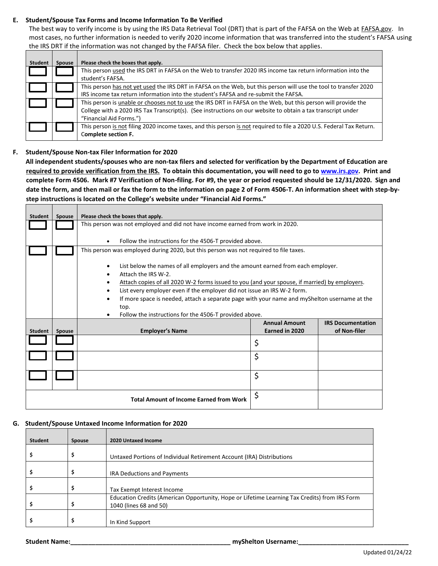#### **E. Student/Spouse Tax Forms and Income Information To Be Verified**

The best way to verify income is by using the IRS Data Retrieval Tool (DRT) that is part of the FAFSA on the Web at **FAFSA.gov**. In most cases, no further information is needed to verify 2020 income information that was transferred into the student's FAFSA using the IRS DRT if the information was not changed by the FAFSA filer. Check the box below that applies.

| Student | <b>Spouse</b> | Please check the boxes that apply.                                                                                                                                                                                                                       |
|---------|---------------|----------------------------------------------------------------------------------------------------------------------------------------------------------------------------------------------------------------------------------------------------------|
|         |               | This person used the IRS DRT in FAFSA on the Web to transfer 2020 IRS income tax return information into the<br>student's FAFSA.                                                                                                                         |
|         |               | This person has not yet used the IRS DRT in FAFSA on the Web, but this person will use the tool to transfer 2020<br>IRS income tax return information into the student's FAFSA and re-submit the FAFSA.                                                  |
|         |               | This person is unable or chooses not to use the IRS DRT in FAFSA on the Web, but this person will provide the<br>College with a 2020 IRS Tax Transcript(s). (See instructions on our website to obtain a tax transcript under<br>"Financial Aid Forms.") |
|         |               | This person is not filing 2020 income taxes, and this person is not required to file a 2020 U.S. Federal Tax Return.<br>Complete section F.                                                                                                              |

#### **F. Student/Spouse Non-tax Filer Information for 2020**

┓

**All independent students/spouses who are non-tax filers and selected for verification by the Department of Education are required to provide verification from the IRS. To obtain this documentation, you will need to go t[o www.irs.gov.](http://www.irs.gov/) Print and complete Form 4506. Mark #7 Verification of Non-filing. For #9, the year or period requested should be 12/31/2020. Sign and date the form, and then mail or fax the form to the information on page 2 of Form 4506-T. An information sheet with step-bystep instructions is located on the College's website under "Financial Aid Forms."**

| <b>Student</b> | <b>Spouse</b> | Please check the boxes that apply.                                                                               |                                        |                                          |
|----------------|---------------|------------------------------------------------------------------------------------------------------------------|----------------------------------------|------------------------------------------|
|                |               | This person was not employed and did not have income earned from work in 2020.                                   |                                        |                                          |
|                |               | Follow the instructions for the 4506-T provided above.                                                           |                                        |                                          |
|                |               | This person was employed during 2020, but this person was not required to file taxes.                            |                                        |                                          |
|                |               | List below the names of all employers and the amount earned from each employer.<br>٠<br>Attach the IRS W-2.<br>٠ |                                        |                                          |
|                |               | Attach copies of all 2020 W-2 forms issued to you (and your spouse, if married) by employers.<br>٠               |                                        |                                          |
|                |               | List every employer even if the employer did not issue an IRS W-2 form.<br>$\bullet$                             |                                        |                                          |
|                |               | If more space is needed, attach a separate page with your name and myShelton username at the<br>$\bullet$        |                                        |                                          |
|                |               | top.                                                                                                             |                                        |                                          |
|                |               | Follow the instructions for the 4506-T provided above.<br>٠                                                      |                                        |                                          |
| Student        | <b>Spouse</b> | <b>Employer's Name</b>                                                                                           | <b>Annual Amount</b><br>Earned in 2020 | <b>IRS Documentation</b><br>of Non-filer |
|                |               |                                                                                                                  | \$                                     |                                          |
|                |               |                                                                                                                  | \$                                     |                                          |
|                |               |                                                                                                                  | \$                                     |                                          |
|                |               | <b>Total Amount of Income Earned from Work</b>                                                                   | \$                                     |                                          |

#### **G. Student/Spouse Untaxed Income Information for 2020**

| <b>Student</b> | <b>Spouse</b> | 2020 Untaxed Income                                                                                                     |
|----------------|---------------|-------------------------------------------------------------------------------------------------------------------------|
|                | \$            | Untaxed Portions of Individual Retirement Account (IRA) Distributions                                                   |
|                | э             | <b>IRA Deductions and Payments</b>                                                                                      |
|                | \$            | Tax Exempt Interest Income                                                                                              |
|                | \$            | Education Credits (American Opportunity, Hope or Lifetime Learning Tax Credits) from IRS Form<br>1040 (lines 68 and 50) |
|                | ⋗             | In Kind Support                                                                                                         |